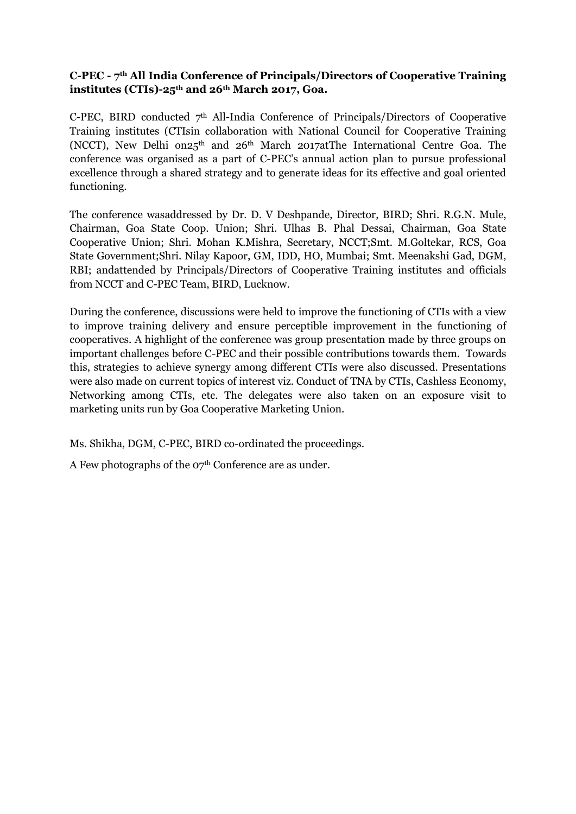## **C-PEC - 7th All India Conference of Principals/Directors of Cooperative Training institutes (CTIs)-25th and 26th March 2017, Goa.**

C-PEC, BIRD conducted  $7<sup>th</sup>$  All-India Conference of Principals/Directors of Cooperative Training institutes (CTIsin collaboration with National Council for Cooperative Training (NCCT), New Delhi on25th and 26th March 2017atThe International Centre Goa. The conference was organised as a part of C-PEC's annual action plan to pursue professional excellence through a shared strategy and to generate ideas for its effective and goal oriented functioning.

The conference wasaddressed by Dr. D. V Deshpande, Director, BIRD; Shri. R.G.N. Mule, Chairman, Goa State Coop. Union; Shri. Ulhas B. Phal Dessai, Chairman, Goa State Cooperative Union; Shri. Mohan K.Mishra, Secretary, NCCT;Smt. M.Goltekar, RCS, Goa State Government;Shri. Nilay Kapoor, GM, IDD, HO, Mumbai; Smt. Meenakshi Gad, DGM, RBI; andattended by Principals/Directors of Cooperative Training institutes and officials from NCCT and C-PEC Team, BIRD, Lucknow.

During the conference, discussions were held to improve the functioning of CTIs with a view to improve training delivery and ensure perceptible improvement in the functioning of cooperatives. A highlight of the conference was group presentation made by three groups on important challenges before C-PEC and their possible contributions towards them. Towards this, strategies to achieve synergy among different CTIs were also discussed. Presentations were also made on current topics of interest viz. Conduct of TNA by CTIs, Cashless Economy, Networking among CTIs, etc. The delegates were also taken on an exposure visit to marketing units run by Goa Cooperative Marketing Union.

Ms. Shikha, DGM, C-PEC, BIRD co-ordinated the proceedings.

A Few photographs of the  $27<sup>th</sup>$  Conference are as under.